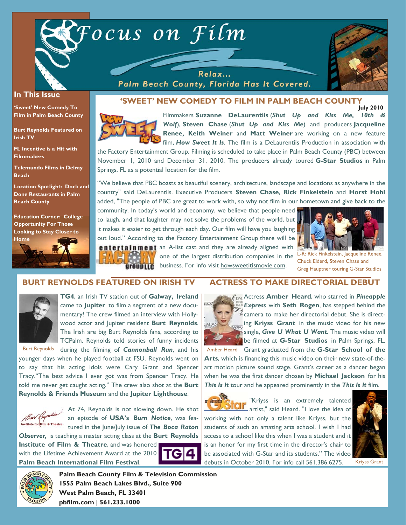



#### **In This Issue**

**'Sweet' New Comedy To Film in Palm Beach County** 

**Burt Reynolds Featured on Irish TV** 

**FL Incentive is a Hit with Filmmakers** 

**Telemundo Films in Delray Beach** 

**Location Spotlight: Dock and Done Restaurants in Palm Beach County** 

**Education Corner: College Opportunity For Those Looking to Stay Closer to** 



**July 2010 'SWEET' NEW COMEDY TO FILM IN PALM BEACH COUNTY** 

Palm Beach County, Florida Has It Covered.



Filmmakers **Suzanne DeLaurentiis** (*Shut Up and Kiss Me, 10th & Wolf*), **Steven Chase** (*Shut Up and Kiss Me*) and producers **Jacqueline Renee, Keith Weiner** and **Matt Weiner** are working on a new feature film, *How Sweet It Is*. The film is a DeLaurentiis Production in association with

the Factory Entertainment Group. Filming is scheduled to take place in Palm Beach County (PBC) between November 1, 2010 and December 31, 2010. The producers already toured **G-Star Studios** in Palm Springs, FL as a potential location for the film.

"We believe that PBC boasts as beautiful scenery, architecture, landscape and locations as anywhere in the country" said DeLaurentiis. Executive Producers **Steven Chase**, **Rick Finkelstein** and **Horst Hohl**  added, "The people of PBC are great to work with, so why not film in our hometown and give back to the

community. In today's world and economy, we believe that people need to laugh, and that laughter may not solve the problems of the world, but it makes it easier to get through each day. Our film will have you laughing out loud." According to the Factory Entertainment Group there will be **entertainment** an A-list cast and they are already aligned with



one of the largest distribution companies in the grouplic business. For info visit howsweetitismovie.com.

FAA

**DALLAS** 

L-R: Rick Finkelstein, Jacqueline Renee, Chuck Elderd, Steven Chase and Greg Hauptner touring G-Star Studios

# **BURT REYNOLDS FEATURED ON IRISH TV**



**TG4**, an Irish TV station out of **Galway, Ireland** came to **Jupiter** to film a segment of a new documentary! The crew filmed an interview with Hollywood actor and Jupiter resident **Burt Reynolds**. The Irish are big Burt Reynolds fans, according to TCPalm. Reynolds told stories of funny incidents

日常

during the filming of *Cannonball Run*, and his younger days when he played football at FSU. Reynolds went on to say that his acting idols were Cary Grant and Spencer Tracy."The best advice I ever got was from Spencer Tracy. He told me never get caught acting." The crew also shot at the **Burt Reynolds & Friends Museum** and the **Jupiter Lighthouse**. Burt Reynolds



At 74, Reynolds is not slowing down. He shot an episode of **USA's** *Burn Notice*, was featured in the June/July issue of *The Boca Raton* 

*Observer,* is teaching a master acting class at the **Burt Reynolds** 

**Institute of Film & Theatre**, and was honored with the Lifetime Achievement Award at the 2010 **Palm Beach International Film Festival**.



# **ACTRESS TO MAKE DIRECTORIAL DEBUT**



Amber Heard Grant graduated from the G-Star School of the **Arts**, which is financing this music video on their new state-of-theart motion picture sound stage. Grant's career as a dancer began when he was the first dancer chosen by **Michael Jackson** for his *This Is It* tour and he appeared prominently in the *This Is It* film.



"Kriyss is an extremely talented  $\frac{\text{Sion}}{\text{Sion}}$  artist," said Heard. "I love the idea of

working with not only a talent like Kriyss, but the students of such an amazing arts school. I wish I had access to a school like this when I was a student and it is an honor for my first time in the director's chair to be associated with G-Star and its students." The video debuts in October 2010. For info call 561.386.6275.







**Palm Beach County Film & Television Commission 1555 Palm Beach Lakes Blvd., Suite 900 West Palm Beach, FL 33401 pbfilm.com | 561.233.1000**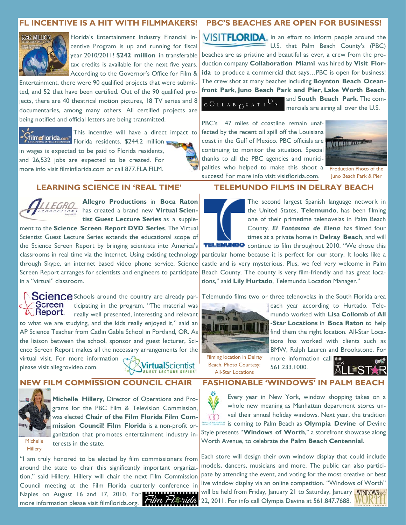# **FL INCENTIVE IS A HIT WITH FILMMAKERS!**



Florida's Entertainment Industry Financial Incentive Program is up and running for fiscal year 2010/2011! **\$242 million** in transferable tax credits is available for the next five years. According to the Governor's Office for Film &

Entertainment, there were 90 qualified projects that were submitted, and 52 that have been certified. Out of the 90 qualified projects, there are 40 theatrical motion pictures, 18 TV series and 8 documentaries, among many others. All certified projects are being notified and official letters are being transmitted.

This incentive will have a direct impact to

Filmoflorida.com<sup>n</sup> Florida residents. \$244.2 million in wages is expected to be paid to Florida residents, and 26,532 jobs are expected to be created. For more info visit filminflorida.com or call 877.FLA.FILM.

# **LEARNING SCIENCE IN 'REAL TIME'**



**Allegro Productions** in **Boca Raton**  has created a brand new **Virtual Scientist Guest Lecture Series** as a supple-

ment to the **Science Screen Report DVD Series**. The Virtual Scientist Guest Lecture Series extends the educational scope of the Science Screen Report by bringing scientists into America's classrooms in real time via the Internet. Using existing technology through Skype, an internet based video phone service, Science Screen Report arranges for scientists and engineers to participate in a "virtual" classroom.

**Science** Schools around the country are already par-Screen ticipating in the program. "The material was  $\mathcal{L}\backslash$  Report. really well presented, interesting and relevant to what we are studying, and the kids really enjoyed it," said an AP Science Teacher from Catlin Gable School in Portland, OR. As the liaison between the school, sponsor and guest lecturer, Science Screen Report makes all the necessary arrangements for the virtual visit. For more information

please visit allegrovideo.com.

**VirtualScientist** 

# **NEW FILM COMMISSION COUNCIL CHAIR**



Michelle Hillery

**Michelle Hillery**, Director of Operations and Programs for the PBC Film & Television Commission, was elected **Chair of the Film Florida Film Commission Council**! **Film Florida** is a non-profit organization that promotes entertainment industry interests in the state.

"I am truly honored to be elected by film commissioners from around the state to chair this significantly important organization," said Hillery. Hillery will chair the next Film Commission Council meeting at the Film Florida quarterly conference in Naples on August 16 and 17, 2010. For more information please visit filmflorida.org.

#### **PBC'S BEACHES ARE OPEN FOR BUSINESS!**

VISITFLORIDA. In an effort to inform people around the U.S. that Palm Beach County's (PBC) beaches are as pristine and beautiful as ever, a crew from the production company **Collaboration Miami** was hired by **Visit Florida** to produce a commercial that says…PBC is open for business! The crew shot at many beaches including **Boynton Beach Oceanfront Park**, **Juno Beach Park and Pier**, **Lake Worth Beach**, and **South Beach Park**. The com-

# $C O L L A B Q R A T I O N$

mercials are airing all over the U.S.

PBC's 47 miles of coastline remain unaffected by the recent oil spill off the Louisiana coast in the Gulf of Mexico. PBC officials are **THE HAMMARIAN** continuing to monitor the situation. Special thanks to all the PBC agencies and municipalities who helped to make this shoot a success! For more info visit visitflorida.com.



Production Photo of the Juno Beach Park & Pier

#### **TELEMUNDO FILMS IN DELRAY BEACH**



The second largest Spanish language network in the United States, **Telemundo**, has been filming one of their primetime telenovelas in Palm Beach County. *El Fantasma de Elena* has filmed four times at a private home in **Delray Beach**, and will TELEMUNDO continue to film throughout 2010. "We chose this

particular home because it is perfect for our story. It looks like a castle and is very mysterious. Plus, we feel very welcome in Palm Beach County. The county is very film-friendly and has great locations," said **Lily Hurtado**, Telemundo Location Manager."

Telemundo films two or three telenovelas in the South Florida area



each year according to Hurtado. Telemundo worked with **Lisa Collomb** of **All -Star Locations** in **Boca Raton** to help find them the right location. All-Star Locations has worked with clients such as BMW, Ralph Lauren and Brookstone. For

Filming location in Delray Beach. Photo Courtesy: All-Star Locations

more information call **DO** 561.233.1000.



# **FASHIONABLE 'WINDOWS' IN PALM BEACH**



Every year in New York, window shopping takes on a whole new meaning as Manhattan department stores unveil their annual holiday windows. Next year, the tradition is coming to Palm Beach as **Olympia Devine** of Devine

Style presents "**Windows of Worth**," a storefront showcase along Worth Avenue, to celebrate the **Palm Beach Centennial**.

Each store will design their own window display that could include models, dancers, musicians and more. The public can also participate by attending the event, and voting for the most creative or best live window display via an online competition. "Windows of Worth" will be held from Friday, January 21 to Saturday, January WINDOWS 22, 2011. For info call Olympia Devine at 561.847.7688.

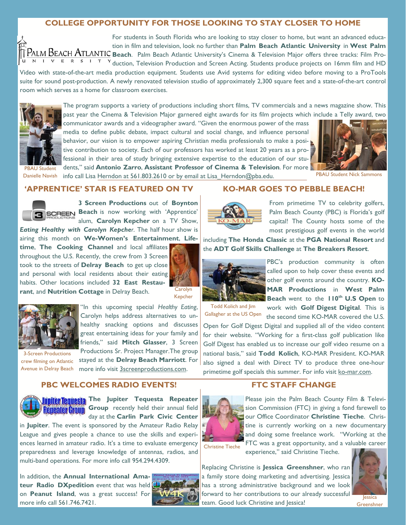# **COLLEGE OPPORTUNITY FOR THOSE LOOKING TO STAY CLOSER TO HOME**

For students in South Florida who are looking to stay closer to home, but want an advanced education in film and television, look no further than **Palm Beach Atlantic University** in **West Palm**  PALM BEACH ATLANTIC Beach. Palm Beach Atlantic University's Cinema & Television Major offers three tracks: Film Pro- $\overline{N}$   $\overline{N}$   $\overline{N}$   $\overline{N}$   $\overline{N}$  duction, Television Production and Screen Acting. Students produce projects on 16mm film and HD

Video with state-of-the-art media production equipment. Students use Avid systems for editing video before moving to a ProTools suite for sound post-production. A newly renovated television studio of approximately 2,300 square feet and a state-of-the-art control room which serves as a home for classroom exercises.



PBAU Student

The program supports a variety of productions including short films, TV commercials and a news magazine show. This past year the Cinema & Television Major garnered eight awards for its film projects which include a Telly award, two communicator awards and a videographer award. "Given the enormous power of the mass

media to define public debate, impact cultural and social change, and influence personal behavior, our vision is to empower aspiring Christian media professionals to make a positive contribution to society. Each of our professors has worked at least 20 years as a professional in their area of study bringing extensive expertise to the education of our students," said **Antonio Zarro**, **Assistant Professor of Cinema & Television**. For more



Danielle Navish info call Lisa Herndon at 561.803.2610 or by email at Lisa\_Herndon@pba.edu. PBAU Student Nick Sammons

#### **'APPRENTICE' STAR IS FEATURED ON TV**



**3 Screen Productions** out of **Boynton BEGREEN Beach** is now working with 'Apprentice' alum, **Carolyn Kepcher** on a TV Show,

*Eating Healthy with Carolyn Kepcher*. The half hour show is airing this month on **We-Women's Entertainment**, **Life-**

**time**, **The Cooking Channel** and local affiliates throughout the U.S. Recently, the crew from 3 Screen took to the streets of **Delray Beach** to get up close and personal with local residents about their eating habits. Other locations included **32 East Restaurant**, and **Nutrition Cottage** in Delray Beach.



Kepcher



"In this upcoming special *Healthy Eating*, Carolyn helps address alternatives to unhealthy snacking options and discusses great entertaining ideas for your family and friends," said **Mitch Glasser**, 3 Screen Productions Sr. Project Manager.The group stayed at the **Delray Beach Marriott**. For more info visit 3screenproductions.com.

3-Screen Productions crew filming on Atlantic Avenue in Delray Beach



**Jupiter Tequesta** The Jupiter Tequesta Repeater **Group** recently held their annual field Repeater Group day at the **Carlin Park Civic Center**

in **Jupiter**. The event is sponsored by the Amateur Radio Relay League and gives people a chance to use the skills and experiences learned in amateur radio. It's a time to evaluate emergency preparedness and leverage knowledge of antennas, radios, and multi-band operations. For more info call 954.294.4309.

**PBC WELCOMES RADIO EVENTS!** 

In addition, the **Annual International Amateur Radio DXpedition** event that was held on **Peanut Island**, was a great success! For more info call 561.746.7421.



# **KO-MAR GOES TO PEBBLE BEACH!**



From primetime TV to celebrity golfers, Palm Beach County (PBC) is Florida's golf capital! The County hosts some of the most prestigious golf events in the world

including **The Honda Classic** at the **PGA National Resort** and the **ADT Golf Skills Challenge** at **The Breakers Resort**.



PBC's production community is often called upon to help cover these events and other golf events around the country. **KO-MAR Productions** in **West Palm Beach** went to the **110<sup>th</sup> U.S Open** to work with **Golf Digest Digital**. This is

Todd Kolich and Jim Gallagher at the US Open

the second time KO-MAR covered the U.S. Open for Golf Digest Digital and supplied all of the video content for their website. "Working for a first-class golf publication like Golf Digest has enabled us to increase our golf video resume on a national basis," said **Todd Kolich**, KO-MAR President. KO-MAR also signed a deal with Direct TV to produce three one-hour primetime golf specials this summer. For info visit ko-mar.com.

#### **FTC STAFF CHANGE**



Please join the Palm Beach County Film & Television Commission (FTC) in giving a fond farewell to our Office Coordinator **Christine Tieche**. Christine is currently working on a new documentary and doing some freelance work. "Working at the FTC was a great opportunity, and a valuable career

Christine Tieche

experience," said Christine Tieche.

Replacing Christine is **Jessica Greenshner**, who ran a family store doing marketing and advertising. Jessica has a strong administrative background and we look forward to her contributions to our already successful team. Good luck Christine and Jessica!



**Greenshner**